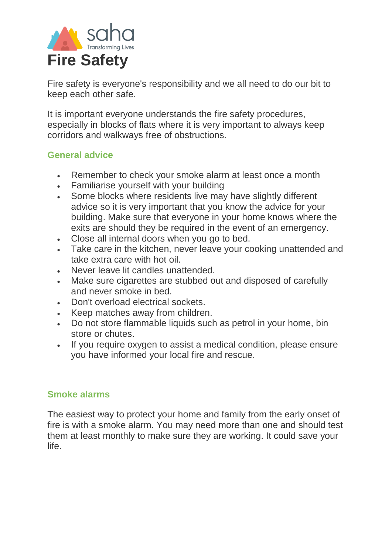

Fire safety is everyone's responsibility and we all need to do our bit to keep each other safe.

It is important everyone understands the fire safety procedures, especially in blocks of flats where it is very important to always keep corridors and walkways free of obstructions.

### **General advice**

- Remember to check your smoke alarm at least once a month
- Familiarise yourself with your building
- Some blocks where residents live may have slightly different advice so it is very important that you know the advice for your building. Make sure that everyone in your home knows where the exits are should they be required in the event of an emergency.
- Close all internal doors when you go to bed.
- Take care in the kitchen, never leave your cooking unattended and take extra care with hot oil.
- Never leave lit candles unattended.
- Make sure cigarettes are stubbed out and disposed of carefully and never smoke in bed.
- Don't overload electrical sockets.
- Keep matches away from children.
- Do not store flammable liquids such as petrol in your home, bin store or chutes.
- If you require oxygen to assist a medical condition, please ensure you have informed your local fire and rescue.

## **Smoke alarms**

The easiest way to protect your home and family from the early onset of fire is with a smoke alarm. You may need more than one and should test them at least monthly to make sure they are working. It could save your life.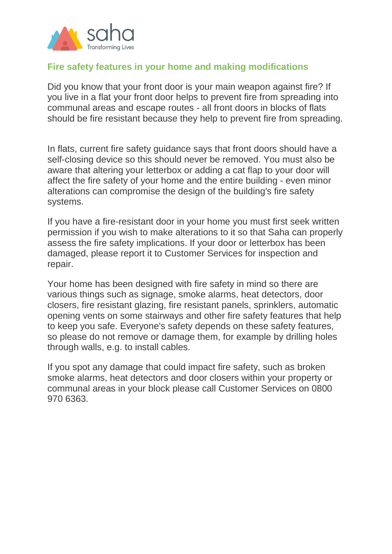

### **Fire safety features in your home and making modifications**

Did you know that your front door is your main weapon against fire? If you live in a flat your front door helps to prevent fire from spreading into communal areas and escape routes - all front doors in blocks of flats should be fire resistant because they help to prevent fire from spreading.

In flats, current fire safety guidance says that front doors should have a self-closing device so this should never be removed. You must also be aware that altering your letterbox or adding a cat flap to your door will affect the fire safety of your home and the entire building - even minor alterations can compromise the design of the building's fire safety systems.

If you have a fire-resistant door in your home you must first seek written permission if you wish to make alterations to it so that Saha can properly assess the fire safety implications. If your door or letterbox has been damaged, please report it to Customer Services for inspection and repair.

Your home has been designed with fire safety in mind so there are various things such as signage, smoke alarms, heat detectors, door closers, fire resistant glazing, fire resistant panels, sprinklers, automatic opening vents on some stairways and other fire safety features that help to keep you safe. Everyone's safety depends on these safety features, so please do not remove or damage them, for example by drilling holes through walls, e.g. to install cables.

If you spot any damage that could impact fire safety, such as broken smoke alarms, heat detectors and door closers within your property or communal areas in your block please call Customer Services on 0800 970 6363.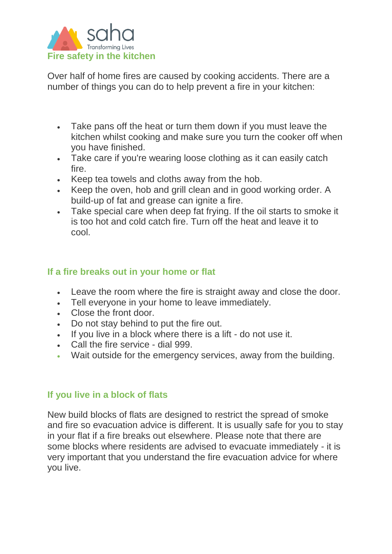

Over half of home fires are caused by cooking accidents. There are a number of things you can do to help prevent a fire in your kitchen:

- Take pans off the heat or turn them down if you must leave the kitchen whilst cooking and make sure you turn the cooker off when you have finished.
- Take care if you're wearing loose clothing as it can easily catch fire.
- Keep tea towels and cloths away from the hob.
- Keep the oven, hob and grill clean and in good working order. A build-up of fat and grease can ignite a fire.
- Take special care when deep fat frying. If the oil starts to smoke it is too hot and cold catch fire. Turn off the heat and leave it to cool.

#### **If a fire breaks out in your home or flat**

- Leave the room where the fire is straight away and close the door.
- Tell everyone in your home to leave immediately.
- Close the front door.
- Do not stay behind to put the fire out.
- If you live in a block where there is a lift do not use it.
- Call the fire service dial 999.
- Wait outside for the emergency services, away from the building.

#### **If you live in a block of flats**

New build blocks of flats are designed to restrict the spread of smoke and fire so evacuation advice is different. It is usually safe for you to stay in your flat if a fire breaks out elsewhere. Please note that there are some blocks where residents are advised to evacuate immediately - it is very important that you understand the fire evacuation advice for where you live.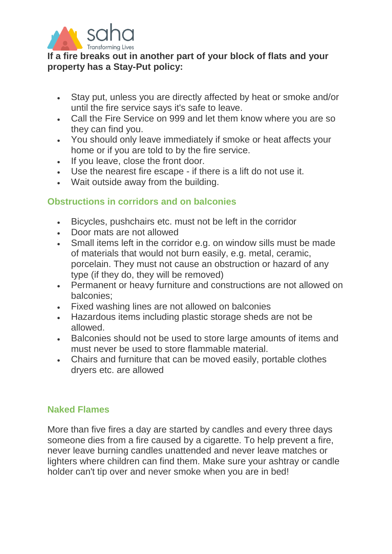

**If a fire breaks out in another part of your block of flats and your property has a Stay-Put policy:**

- Stay put, unless you are directly affected by heat or smoke and/or until the fire service says it's safe to leave.
- Call the Fire Service on 999 and let them know where you are so they can find you.
- You should only leave immediately if smoke or heat affects your home or if you are told to by the fire service.
- If you leave, close the front door.
- Use the nearest fire escape if there is a lift do not use it.
- Wait outside away from the building.

## **Obstructions in corridors and on balconies**

- Bicycles, pushchairs etc. must not be left in the corridor
- Door mats are not allowed
- Small items left in the corridor e.g. on window sills must be made of materials that would not burn easily, e.g. metal, ceramic, porcelain. They must not cause an obstruction or hazard of any type (if they do, they will be removed)
- Permanent or heavy furniture and constructions are not allowed on balconies;
- Fixed washing lines are not allowed on balconies
- Hazardous items including plastic storage sheds are not be allowed.
- Balconies should not be used to store large amounts of items and must never be used to store flammable material.
- Chairs and furniture that can be moved easily, portable clothes dryers etc. are allowed

#### **Naked Flames**

More than five fires a day are started by candles and every three days someone dies from a fire caused by a cigarette. To help prevent a fire, never leave burning candles unattended and never leave matches or lighters where children can find them. Make sure your ashtray or candle holder can't tip over and never smoke when you are in bed!